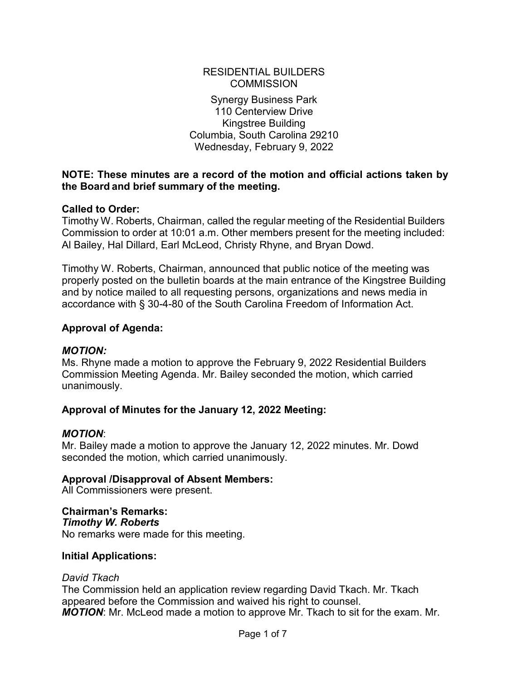#### RESIDENTIAL BUILDERS **COMMISSION**

Synergy Business Park 110 Centerview Drive Kingstree Building Columbia, South Carolina 29210 Wednesday, February 9, 2022

#### **NOTE: These minutes are a record of the motion and official actions taken by the Board and brief summary of the meeting.**

#### **Called to Order:**

Timothy W. Roberts, Chairman, called the regular meeting of the Residential Builders Commission to order at 10:01 a.m. Other members present for the meeting included: Al Bailey, Hal Dillard, Earl McLeod, Christy Rhyne, and Bryan Dowd.

Timothy W. Roberts, Chairman, announced that public notice of the meeting was properly posted on the bulletin boards at the main entrance of the Kingstree Building and by notice mailed to all requesting persons, organizations and news media in accordance with § 30-4-80 of the South Carolina Freedom of Information Act.

#### **Approval of Agenda:**

#### *MOTION:*

Ms. Rhyne made a motion to approve the February 9, 2022 Residential Builders Commission Meeting Agenda. Mr. Bailey seconded the motion, which carried unanimously.

#### **Approval of Minutes for the January 12, 2022 Meeting:**

#### *MOTION*:

Mr. Bailey made a motion to approve the January 12, 2022 minutes. Mr. Dowd seconded the motion, which carried unanimously.

#### **Approval /Disapproval of Absent Members:**

All Commissioners were present.

#### **Chairman's Remarks:**

*Timothy W. Roberts* No remarks were made for this meeting.

#### **Initial Applications:**

#### *David Tkach*

The Commission held an application review regarding David Tkach. Mr. Tkach appeared before the Commission and waived his right to counsel. *MOTION*: Mr. McLeod made a motion to approve Mr. Tkach to sit for the exam. Mr.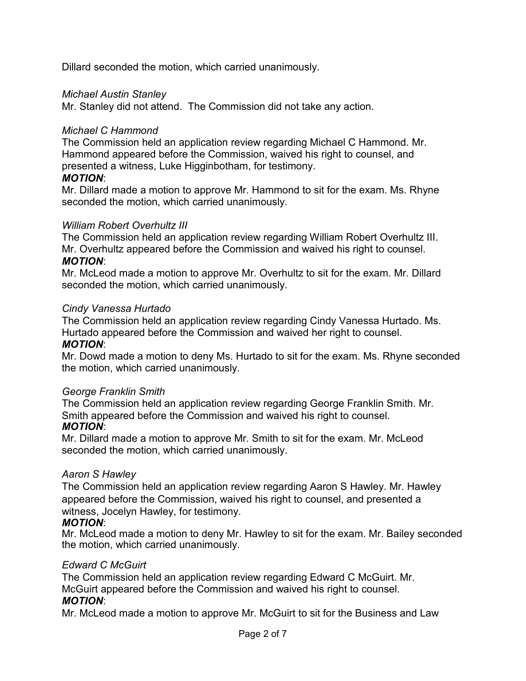Dillard seconded the motion, which carried unanimously.

#### *Michael Austin Stanley*

Mr. Stanley did not attend. The Commission did not take any action.

#### *Michael C Hammond*

The Commission held an application review regarding Michael C Hammond. Mr. Hammond appeared before the Commission, waived his right to counsel, and presented a witness, Luke Higginbotham, for testimony.

#### *MOTION*:

Mr. Dillard made a motion to approve Mr. Hammond to sit for the exam. Ms. Rhyne seconded the motion, which carried unanimously.

#### *William Robert Overhultz III*

The Commission held an application review regarding William Robert Overhultz III. Mr. Overhultz appeared before the Commission and waived his right to counsel. *MOTION*:

Mr. McLeod made a motion to approve Mr. Overhultz to sit for the exam. Mr. Dillard seconded the motion, which carried unanimously.

#### *Cindy Vanessa Hurtado*

The Commission held an application review regarding Cindy Vanessa Hurtado. Ms. Hurtado appeared before the Commission and waived her right to counsel.

#### *MOTION*:

Mr. Dowd made a motion to deny Ms. Hurtado to sit for the exam. Ms. Rhyne seconded the motion, which carried unanimously.

#### *George Franklin Smith*

The Commission held an application review regarding George Franklin Smith. Mr. Smith appeared before the Commission and waived his right to counsel. *MOTION*:

Mr. Dillard made a motion to approve Mr. Smith to sit for the exam. Mr. McLeod seconded the motion, which carried unanimously.

#### *Aaron S Hawley*

The Commission held an application review regarding Aaron S Hawley. Mr. Hawley appeared before the Commission, waived his right to counsel, and presented a witness, Jocelyn Hawley, for testimony.

#### *MOTION*:

Mr. McLeod made a motion to deny Mr. Hawley to sit for the exam. Mr. Bailey seconded the motion, which carried unanimously.

#### *Edward C McGuirt*

The Commission held an application review regarding Edward C McGuirt. Mr. McGuirt appeared before the Commission and waived his right to counsel. *MOTION*:

Mr. McLeod made a motion to approve Mr. McGuirt to sit for the Business and Law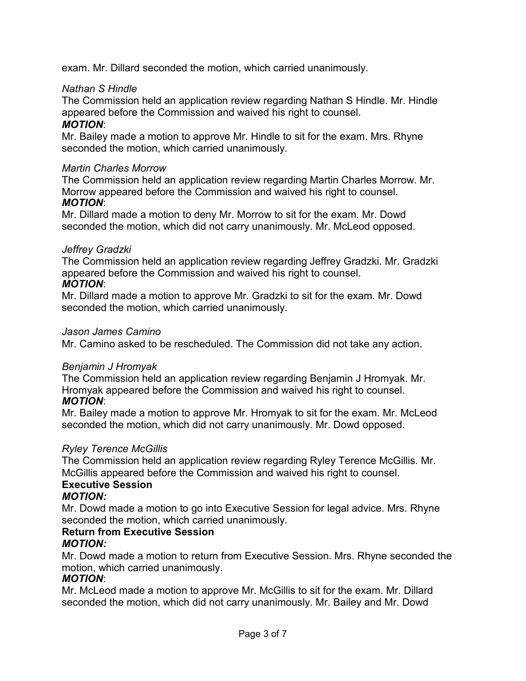exam. Mr. Dillard seconded the motion, which carried unanimously.

#### *Nathan S Hindle*

The Commission held an application review regarding Nathan S Hindle. Mr. Hindle appeared before the Commission and waived his right to counsel.

#### *MOTION*:

Mr. Bailey made a motion to approve Mr. Hindle to sit for the exam. Mrs. Rhyne seconded the motion, which carried unanimously.

#### *Martin Charles Morrow*

The Commission held an application review regarding Martin Charles Morrow. Mr. Morrow appeared before the Commission and waived his right to counsel. *MOTION*:

Mr. Dillard made a motion to deny Mr. Morrow to sit for the exam. Mr. Dowd seconded the motion, which did not carry unanimously. Mr. McLeod opposed.

#### *Jeffrey Gradzki*

The Commission held an application review regarding Jeffrey Gradzki. Mr. Gradzki appeared before the Commission and waived his right to counsel. *MOTION*:

Mr. Dillard made a motion to approve Mr. Gradzki to sit for the exam. Mr. Dowd seconded the motion, which carried unanimously.

#### *Jason James Camino*

Mr. Camino asked to be rescheduled. The Commission did not take any action.

#### *Benjamin J Hromyak*

The Commission held an application review regarding Benjamin J Hromyak. Mr. Hromyak appeared before the Commission and waived his right to counsel. *MOTION*:

Mr. Bailey made a motion to approve Mr. Hromyak to sit for the exam. Mr. McLeod seconded the motion, which did not carry unanimously. Mr. Dowd opposed.

#### *Ryley Terence McGillis*

The Commission held an application review regarding Ryley Terence McGillis. Mr. McGillis appeared before the Commission and waived his right to counsel.

## **Executive Session**

#### *MOTION:*

Mr. Dowd made a motion to go into Executive Session for legal advice. Mrs. Rhyne seconded the motion, which carried unanimously.

#### **Return from Executive Session** *MOTION:*

Mr. Dowd made a motion to return from Executive Session. Mrs. Rhyne seconded the motion, which carried unanimously.

#### *MOTION*:

Mr. McLeod made a motion to approve Mr. McGillis to sit for the exam. Mr. Dillard seconded the motion, which did not carry unanimously. Mr. Bailey and Mr. Dowd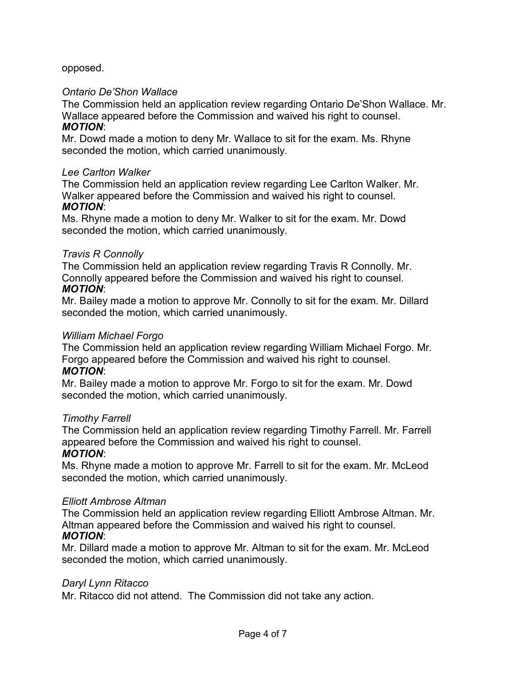opposed.

#### *Ontario De'Shon Wallace*

The Commission held an application review regarding Ontario De'Shon Wallace. Mr. Wallace appeared before the Commission and waived his right to counsel. *MOTION*:

Mr. Dowd made a motion to deny Mr. Wallace to sit for the exam. Ms. Rhyne seconded the motion, which carried unanimously.

#### *Lee Carlton Walker*

The Commission held an application review regarding Lee Carlton Walker. Mr. Walker appeared before the Commission and waived his right to counsel. *MOTION*:

Ms. Rhyne made a motion to deny Mr. Walker to sit for the exam. Mr. Dowd seconded the motion, which carried unanimously.

#### *Travis R Connolly*

The Commission held an application review regarding Travis R Connolly. Mr. Connolly appeared before the Commission and waived his right to counsel. *MOTION*:

Mr. Bailey made a motion to approve Mr. Connolly to sit for the exam. Mr. Dillard seconded the motion, which carried unanimously.

#### *William Michael Forgo*

The Commission held an application review regarding William Michael Forgo. Mr. Forgo appeared before the Commission and waived his right to counsel. *MOTION*:

Mr. Bailey made a motion to approve Mr. Forgo to sit for the exam. Mr. Dowd seconded the motion, which carried unanimously.

#### *Timothy Farrell*

The Commission held an application review regarding Timothy Farrell. Mr. Farrell appeared before the Commission and waived his right to counsel.

#### *MOTION*:

Ms. Rhyne made a motion to approve Mr. Farrell to sit for the exam. Mr. McLeod seconded the motion, which carried unanimously.

#### *Elliott Ambrose Altman*

The Commission held an application review regarding Elliott Ambrose Altman. Mr. Altman appeared before the Commission and waived his right to counsel. *MOTION*:

Mr. Dillard made a motion to approve Mr. Altman to sit for the exam. Mr. McLeod seconded the motion, which carried unanimously.

#### *Daryl Lynn Ritacco*

Mr. Ritacco did not attend. The Commission did not take any action.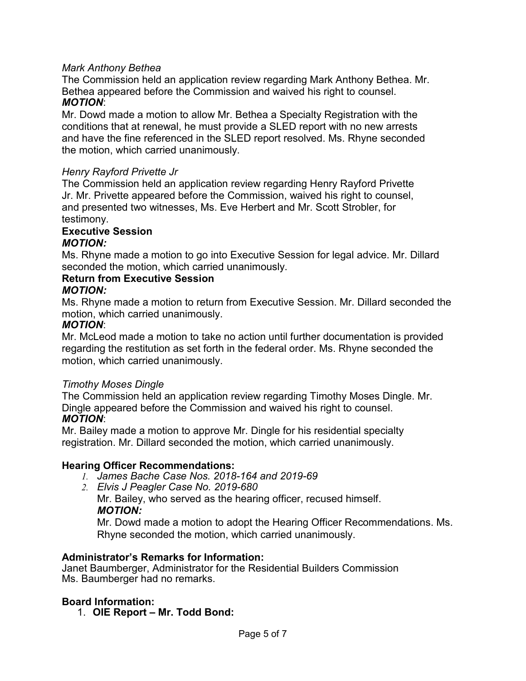#### *Mark Anthony Bethea*

The Commission held an application review regarding Mark Anthony Bethea. Mr. Bethea appeared before the Commission and waived his right to counsel. *MOTION*:

Mr. Dowd made a motion to allow Mr. Bethea a Specialty Registration with the conditions that at renewal, he must provide a SLED report with no new arrests and have the fine referenced in the SLED report resolved. Ms. Rhyne seconded the motion, which carried unanimously.

#### *Henry Rayford Privette Jr*

The Commission held an application review regarding Henry Rayford Privette Jr. Mr. Privette appeared before the Commission, waived his right to counsel, and presented two witnesses, Ms. Eve Herbert and Mr. Scott Strobler, for testimony.

# **Executive Session**

#### *MOTION:*

Ms. Rhyne made a motion to go into Executive Session for legal advice. Mr. Dillard seconded the motion, which carried unanimously.

#### **Return from Executive Session**

#### *MOTION:*

Ms. Rhyne made a motion to return from Executive Session. Mr. Dillard seconded the motion, which carried unanimously.

#### *MOTION*:

Mr. McLeod made a motion to take no action until further documentation is provided regarding the restitution as set forth in the federal order. Ms. Rhyne seconded the motion, which carried unanimously.

#### *Timothy Moses Dingle*

The Commission held an application review regarding Timothy Moses Dingle. Mr. Dingle appeared before the Commission and waived his right to counsel. *MOTION*:

Mr. Bailey made a motion to approve Mr. Dingle for his residential specialty registration. Mr. Dillard seconded the motion, which carried unanimously.

#### **Hearing Officer Recommendations:**

- *1. James Bache Case Nos. 2018-164 and 2019-69*
- *2. Elvis J Peagler Case No. 2019-680*

Mr. Bailey, who served as the hearing officer, recused himself. *MOTION:*

Mr. Dowd made a motion to adopt the Hearing Officer Recommendations. Ms. Rhyne seconded the motion, which carried unanimously.

#### **Administrator's Remarks for Information:**

Janet Baumberger, Administrator for the Residential Builders Commission Ms. Baumberger had no remarks.

#### **Board Information:**

1. **OIE Report – Mr. Todd Bond:**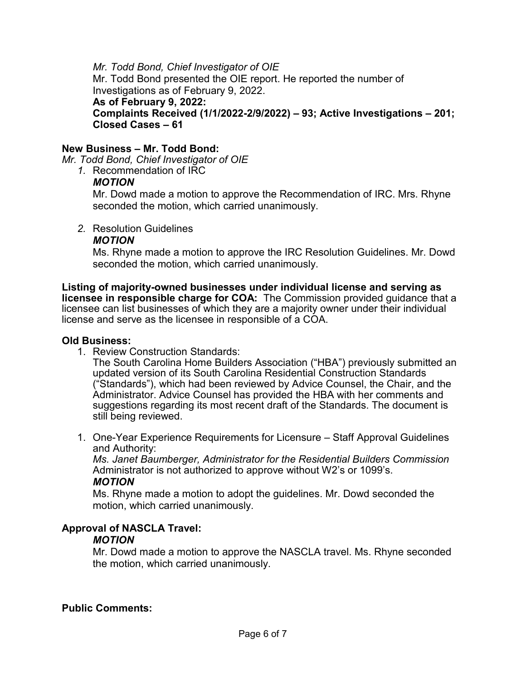#### *Mr. Todd Bond, Chief Investigator of OIE*

Mr. Todd Bond presented the OIE report. He reported the number of Investigations as of February 9, 2022.

#### **As of February 9, 2022:**

#### **Complaints Received (1/1/2022-2/9/2022) – 93; Active Investigations – 201; Closed Cases – 61**

#### **New Business – Mr. Todd Bond:**

*Mr. Todd Bond, Chief Investigator of OIE*

*1.* Recommendation of IRC

#### *MOTION*

Mr. Dowd made a motion to approve the Recommendation of IRC. Mrs. Rhyne seconded the motion, which carried unanimously.

*2.* Resolution Guidelines

#### *MOTION*

Ms. Rhyne made a motion to approve the IRC Resolution Guidelines. Mr. Dowd seconded the motion, which carried unanimously.

**Listing of majority-owned businesses under individual license and serving as licensee in responsible charge for COA:** The Commission provided guidance that a licensee can list businesses of which they are a majority owner under their individual license and serve as the licensee in responsible of a COA.

#### **Old Business:**

1. Review Construction Standards:

The South Carolina Home Builders Association ("HBA") previously submitted an updated version of its South Carolina Residential Construction Standards ("Standards"), which had been reviewed by Advice Counsel, the Chair, and the Administrator. Advice Counsel has provided the HBA with her comments and suggestions regarding its most recent draft of the Standards. The document is still being reviewed.

1. One-Year Experience Requirements for Licensure – Staff Approval Guidelines and Authority:

*Ms. Janet Baumberger, Administrator for the Residential Builders Commission* Administrator is not authorized to approve without W2's or 1099's. *MOTION*

Ms. Rhyne made a motion to adopt the guidelines. Mr. Dowd seconded the motion, which carried unanimously.

#### **Approval of NASCLA Travel:**

#### *MOTION*

Mr. Dowd made a motion to approve the NASCLA travel. Ms. Rhyne seconded the motion, which carried unanimously.

#### **Public Comments:**